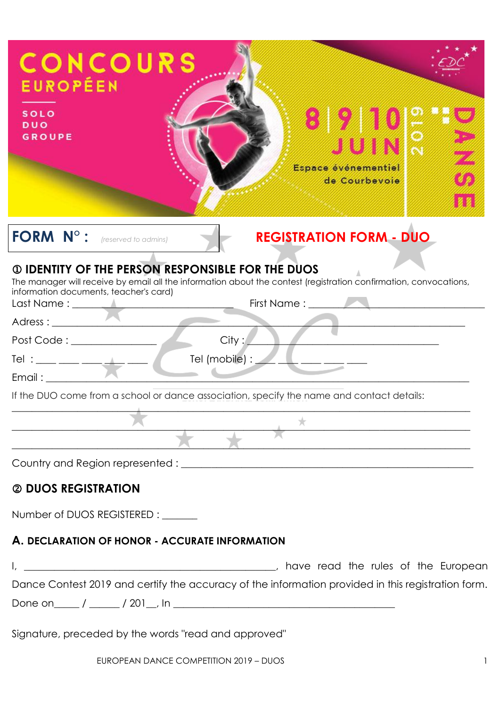| <b>CONCOURS</b><br><b>EUROPÉEN</b><br><b>SOLO</b><br><b>DUO</b><br><b>GROUPE</b><br>JUIN<br>Espace événementiel<br>de Courbevoie                                                                                                                                                                                                         |
|------------------------------------------------------------------------------------------------------------------------------------------------------------------------------------------------------------------------------------------------------------------------------------------------------------------------------------------|
| FORM N°:<br><b>REGISTRATION FORM - DUO</b><br>(reserved to admins)                                                                                                                                                                                                                                                                       |
| <b>10 IDENTITY OF THE PERSON RESPONSIBLE FOR THE DUOS</b><br>The manager will receive by email all the information about the contest (registration confirmation, convocations,<br>information documents, teacher's card)<br>Last Name : ______<br>City:<br>Post Code: _____________<br>Tel : ___ ___ ___ ___ ___ ___<br>Tel (mobile) : _ |
|                                                                                                                                                                                                                                                                                                                                          |
| If the DUO come from a school or dance association, specify the name and contact details:                                                                                                                                                                                                                                                |
|                                                                                                                                                                                                                                                                                                                                          |
|                                                                                                                                                                                                                                                                                                                                          |
| Country and Region represented : ________                                                                                                                                                                                                                                                                                                |
| 2 DUOS REGISTRATION                                                                                                                                                                                                                                                                                                                      |

Number of DUOS REGISTERED :

### **A. DECLARATION OF HONOR - ACCURATE INFORMATION**

I, \_\_\_\_\_\_\_\_\_\_\_\_\_\_\_\_\_\_\_\_\_\_\_\_\_\_\_\_\_\_\_\_\_\_\_\_\_\_\_\_\_\_\_\_\_\_\_\_\_\_, have read the rules of the European Dance Contest 2019 and certify the accuracy of the information provided in this registration form. Done on\_\_\_\_\_ / \_\_\_\_\_\_ / 201\_\_, In \_\_\_\_\_\_\_\_\_\_\_\_\_\_\_\_\_\_\_\_\_\_\_\_\_\_\_\_\_\_\_\_\_\_\_\_\_\_\_\_\_\_\_\_

Signature, preceded by the words "read and approved"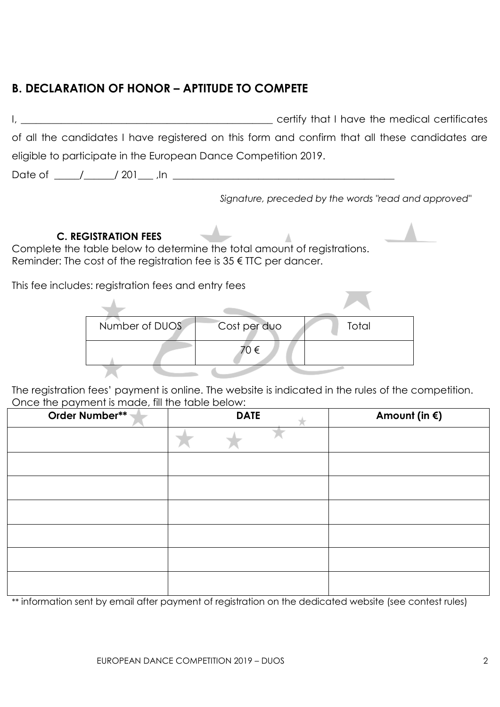## **B. DECLARATION OF HONOR – APTITUDE TO COMPETE**

|                                                                                                                                                                                          |                                                                                                |              | certify that I have the medical certificates         |  |  |
|------------------------------------------------------------------------------------------------------------------------------------------------------------------------------------------|------------------------------------------------------------------------------------------------|--------------|------------------------------------------------------|--|--|
|                                                                                                                                                                                          | of all the candidates I have registered on this form and confirm that all these candidates are |              |                                                      |  |  |
|                                                                                                                                                                                          | eligible to participate in the European Dance Competition 2019.                                |              |                                                      |  |  |
|                                                                                                                                                                                          | Date of $\frac{1}{201}$ / 201   $\frac{1}{201}$                                                |              |                                                      |  |  |
|                                                                                                                                                                                          |                                                                                                |              | Signature, preceded by the words "read and approved" |  |  |
| <b>C. REGISTRATION FEES</b><br>Complete the table below to determine the total amount of registrations.<br>Reminder: The cost of the registration fee is $35 \in \text{TIC}$ per dancer. |                                                                                                |              |                                                      |  |  |
| This fee includes: registration fees and entry fees                                                                                                                                      |                                                                                                |              |                                                      |  |  |
|                                                                                                                                                                                          |                                                                                                |              |                                                      |  |  |
|                                                                                                                                                                                          | Number of DUOS                                                                                 | Cost per duo | Total                                                |  |  |
|                                                                                                                                                                                          |                                                                                                | 70 €         |                                                      |  |  |
|                                                                                                                                                                                          |                                                                                                |              |                                                      |  |  |

The registration fees' payment is online. The website is indicated in the rules of the competition. Once the payment is made, fill the table below:

| shoot the paymont is mead, in the rable below.<br>Order Number** | <b>DATE</b> | Amount (in $\xi$ ) |
|------------------------------------------------------------------|-------------|--------------------|
|                                                                  |             |                    |
|                                                                  |             |                    |
|                                                                  |             |                    |
|                                                                  |             |                    |
|                                                                  |             |                    |
|                                                                  |             |                    |
|                                                                  |             |                    |

\*\* information sent by email after payment of registration on the dedicated website (see contest rules)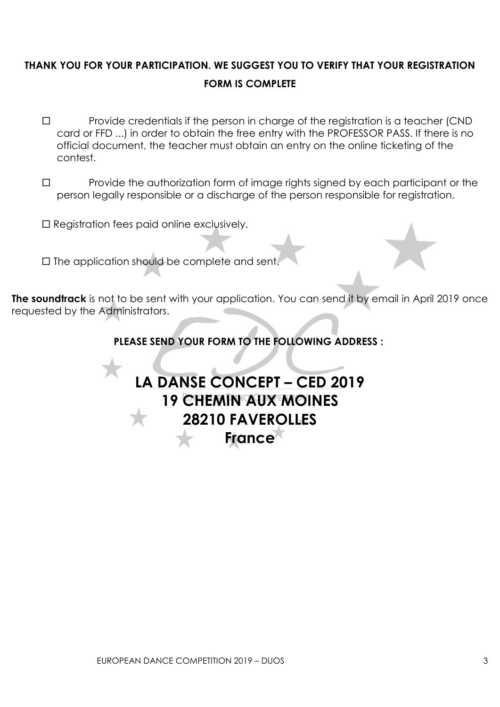## **THANK YOU FOR YOUR PARTICIPATION. WE SUGGEST YOU TO VERIFY THAT YOUR REGISTRATION FORM IS COMPLETE**

- $\square$  Provide credentials if the person in charge of the registration is a teacher (CND card or FFD ...) in order to obtain the free entry with the PROFESSOR PASS. If there is no official document, the teacher must obtain an entry on the online ticketing of the contest.
- $\Box$  Provide the authorization form of image rights signed by each participant or the person legally responsible or a discharge of the person responsible for registration.
- $\square$  Registration fees paid online exclusively.
- $\square$  The application should be complete and sent.

**The soundtrack** is not to be sent with your application. You can send it by email in April 2019 once requested by the Administrators.

#### **PLEASE SEND YOUR FORM TO THE FOLLOWING ADDRESS :**

# **LA DANSE CONCEPT – CED 2019 19 CHEMIN AUX MOINES 28210 FAVEROLLES France**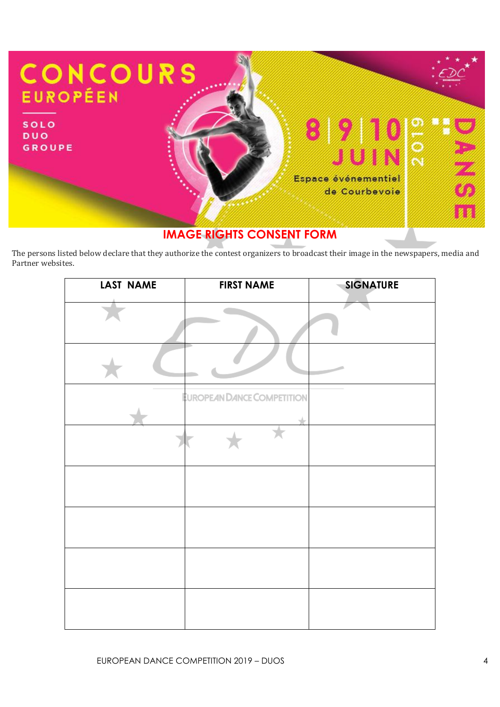

## **IMAGE RIGHTS CONSENT FORM**

The persons listed below declare that they authorize the contest organizers to broadcast their image in the newspapers, media and Partner websites.

| LAST NAME | <b>FIRST NAME</b>                 | <b>SIGNATURE</b> |
|-----------|-----------------------------------|------------------|
|           |                                   |                  |
|           |                                   |                  |
|           | <b>EUROPEAN DANCE COMPETITION</b> |                  |
|           |                                   |                  |
|           |                                   |                  |
|           |                                   |                  |
|           |                                   |                  |
|           |                                   |                  |
|           |                                   |                  |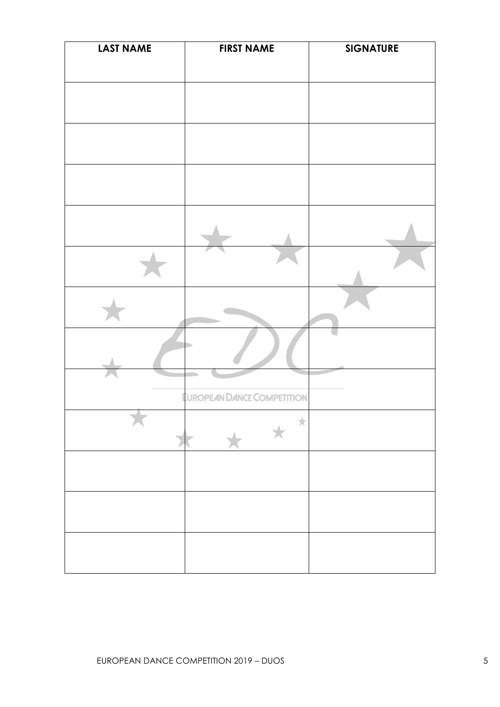| <b>LAST NAME</b> | <b>FIRST NAME</b>          | <b>SIGNATURE</b> |
|------------------|----------------------------|------------------|
|                  |                            |                  |
|                  |                            |                  |
|                  |                            |                  |
|                  |                            |                  |
|                  |                            |                  |
|                  |                            |                  |
|                  |                            |                  |
|                  |                            |                  |
|                  | EUROPEAN DANCE COMPETITION |                  |
|                  | Ж                          |                  |
|                  |                            |                  |
|                  |                            |                  |
|                  |                            |                  |